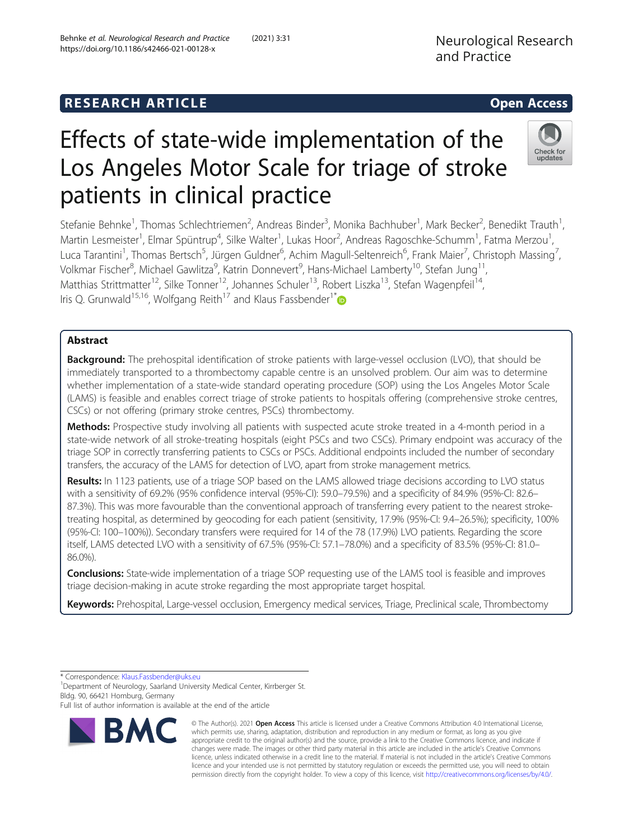# Check for undate

# Effects of state-wide implementation of the Los Angeles Motor Scale for triage of stroke patients in clinical practice

Stefanie Behnke<sup>1</sup>, Thomas Schlechtriemen<sup>2</sup>, Andreas Binder<sup>3</sup>, Monika Bachhuber<sup>1</sup>, Mark Becker<sup>2</sup>, Benedikt Trauth<sup>1</sup> , Martin Lesmeister<sup>1</sup>, Elmar Spüntrup<sup>4</sup>, Silke Walter<sup>1</sup>, Lukas Hoor<sup>2</sup>, Andreas Ragoschke-Schumm<sup>1</sup>, Fatma Merzou<sup>1</sup> , Luca Tarantini<sup>1</sup>, Thomas Bertsch<sup>5</sup>, Jürgen Guldner<sup>6</sup>, Achim Magull-Seltenreich<sup>6</sup>, Frank Maier<sup>7</sup>, Christoph Massing<sup>7</sup> , Volkmar Fischer<sup>8</sup>, Michael Gawlitza<sup>9</sup>, Katrin Donnevert<sup>9</sup>, Hans-Michael Lamberty<sup>10</sup>, Stefan Jung<sup>11</sup>, Matthias Strittmatter<sup>12</sup>, Silke Tonner<sup>12</sup>, Johannes Schuler<sup>13</sup>, Robert Liszka<sup>13</sup>, Stefan Wagenpfeil<sup>14</sup>, Iris Q. Grunwald<sup>15,16</sup>, Wolfgang Reith<sup>17</sup> and Klaus Fassbender<sup>1[\\*](http://orcid.org/0000-0003-3596-868X)</sup>

# Abstract

Background: The prehospital identification of stroke patients with large-vessel occlusion (LVO), that should be immediately transported to a thrombectomy capable centre is an unsolved problem. Our aim was to determine whether implementation of a state-wide standard operating procedure (SOP) using the Los Angeles Motor Scale (LAMS) is feasible and enables correct triage of stroke patients to hospitals offering (comprehensive stroke centres, CSCs) or not offering (primary stroke centres, PSCs) thrombectomy.

Methods: Prospective study involving all patients with suspected acute stroke treated in a 4-month period in a state-wide network of all stroke-treating hospitals (eight PSCs and two CSCs). Primary endpoint was accuracy of the triage SOP in correctly transferring patients to CSCs or PSCs. Additional endpoints included the number of secondary transfers, the accuracy of the LAMS for detection of LVO, apart from stroke management metrics.

Results: In 1123 patients, use of a triage SOP based on the LAMS allowed triage decisions according to LVO status with a sensitivity of 69.2% (95% confidence interval (95%-CI): 59.0–79.5%) and a specificity of 84.9% (95%-CI: 82.6– 87.3%). This was more favourable than the conventional approach of transferring every patient to the nearest stroketreating hospital, as determined by geocoding for each patient (sensitivity, 17.9% (95%-CI: 9.4–26.5%); specificity, 100% (95%-CI: 100–100%)). Secondary transfers were required for 14 of the 78 (17.9%) LVO patients. Regarding the score itself, LAMS detected LVO with a sensitivity of 67.5% (95%-CI: 57.1–78.0%) and a specificity of 83.5% (95%-CI: 81.0– 86.0%).

Conclusions: State-wide implementation of a triage SOP requesting use of the LAMS tool is feasible and improves triage decision-making in acute stroke regarding the most appropriate target hospital.

Keywords: Prehospital, Large-vessel occlusion, Emergency medical services, Triage, Preclinical scale, Thrombectomy

\* Correspondence: [Klaus.Fassbender@uks.eu](mailto:Klaus.Fassbender@uks.eu) <sup>1</sup>

<sup>1</sup> Department of Neurology, Saarland University Medical Center, Kirrberger St. Bldg. 90, 66421 Homburg, Germany

Full list of author information is available at the end of the article



© The Author(s). 2021 Open Access This article is licensed under a Creative Commons Attribution 4.0 International License, which permits use, sharing, adaptation, distribution and reproduction in any medium or format, as long as you give appropriate credit to the original author(s) and the source, provide a link to the Creative Commons licence, and indicate if changes were made. The images or other third party material in this article are included in the article's Creative Commons licence, unless indicated otherwise in a credit line to the material. If material is not included in the article's Creative Commons licence and your intended use is not permitted by statutory regulation or exceeds the permitted use, you will need to obtain permission directly from the copyright holder. To view a copy of this licence, visit [http://creativecommons.org/licenses/by/4.0/.](http://creativecommons.org/licenses/by/4.0/)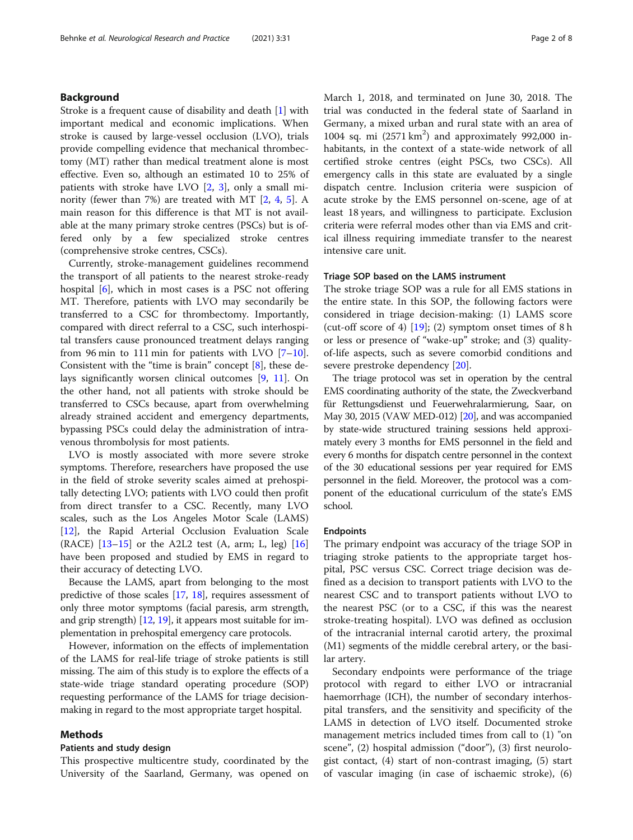# Background

Stroke is a frequent cause of disability and death [[1\]](#page-7-0) with important medical and economic implications. When stroke is caused by large-vessel occlusion (LVO), trials provide compelling evidence that mechanical thrombectomy (MT) rather than medical treatment alone is most effective. Even so, although an estimated 10 to 25% of patients with stroke have LVO [[2](#page-7-0), [3\]](#page-7-0), only a small minority (fewer than 7%) are treated with MT [[2,](#page-7-0) [4,](#page-7-0) [5](#page-7-0)]. A main reason for this difference is that MT is not available at the many primary stroke centres (PSCs) but is offered only by a few specialized stroke centres (comprehensive stroke centres, CSCs).

Currently, stroke-management guidelines recommend the transport of all patients to the nearest stroke-ready hospital [\[6](#page-7-0)], which in most cases is a PSC not offering MT. Therefore, patients with LVO may secondarily be transferred to a CSC for thrombectomy. Importantly, compared with direct referral to a CSC, such interhospital transfers cause pronounced treatment delays ranging from 96 min to 111 min for patients with LVO  $[7-10]$  $[7-10]$  $[7-10]$  $[7-10]$  $[7-10]$ . Consistent with the "time is brain" concept [\[8\]](#page-7-0), these delays significantly worsen clinical outcomes [[9](#page-7-0), [11](#page-7-0)]. On the other hand, not all patients with stroke should be transferred to CSCs because, apart from overwhelming already strained accident and emergency departments, bypassing PSCs could delay the administration of intravenous thrombolysis for most patients.

LVO is mostly associated with more severe stroke symptoms. Therefore, researchers have proposed the use in the field of stroke severity scales aimed at prehospitally detecting LVO; patients with LVO could then profit from direct transfer to a CSC. Recently, many LVO scales, such as the Los Angeles Motor Scale (LAMS) [[12\]](#page-7-0), the Rapid Arterial Occlusion Evaluation Scale (RACE) [[13](#page-7-0)–[15](#page-7-0)] or the A2L2 test (A, arm; L, leg) [[16](#page-7-0)] have been proposed and studied by EMS in regard to their accuracy of detecting LVO.

Because the LAMS, apart from belonging to the most predictive of those scales [\[17,](#page-7-0) [18](#page-7-0)], requires assessment of only three motor symptoms (facial paresis, arm strength, and grip strength)  $[12, 19]$  $[12, 19]$  $[12, 19]$  $[12, 19]$ , it appears most suitable for implementation in prehospital emergency care protocols.

However, information on the effects of implementation of the LAMS for real-life triage of stroke patients is still missing. The aim of this study is to explore the effects of a state-wide triage standard operating procedure (SOP) requesting performance of the LAMS for triage decisionmaking in regard to the most appropriate target hospital.

# Methods

# Patients and study design

This prospective multicentre study, coordinated by the University of the Saarland, Germany, was opened on March 1, 2018, and terminated on June 30, 2018. The trial was conducted in the federal state of Saarland in Germany, a mixed urban and rural state with an area of 1004 sq. mi (2571 km<sup>2</sup>) and approximately 992,000 inhabitants, in the context of a state-wide network of all certified stroke centres (eight PSCs, two CSCs). All emergency calls in this state are evaluated by a single dispatch centre. Inclusion criteria were suspicion of acute stroke by the EMS personnel on-scene, age of at least 18 years, and willingness to participate. Exclusion criteria were referral modes other than via EMS and critical illness requiring immediate transfer to the nearest intensive care unit.

### Triage SOP based on the LAMS instrument

The stroke triage SOP was a rule for all EMS stations in the entire state. In this SOP, the following factors were considered in triage decision-making: (1) LAMS score (cut-off score of 4)  $[19]$  $[19]$ ; (2) symptom onset times of 8 h or less or presence of "wake-up" stroke; and (3) qualityof-life aspects, such as severe comorbid conditions and severe prestroke dependency [[20\]](#page-7-0).

The triage protocol was set in operation by the central EMS coordinating authority of the state, the Zweckverband für Rettungsdienst und Feuerwehralarmierung, Saar, on May 30, 2015 (VAW MED-012) [[20](#page-7-0)], and was accompanied by state-wide structured training sessions held approximately every 3 months for EMS personnel in the field and every 6 months for dispatch centre personnel in the context of the 30 educational sessions per year required for EMS personnel in the field. Moreover, the protocol was a component of the educational curriculum of the state's EMS school.

# Endpoints

The primary endpoint was accuracy of the triage SOP in triaging stroke patients to the appropriate target hospital, PSC versus CSC. Correct triage decision was defined as a decision to transport patients with LVO to the nearest CSC and to transport patients without LVO to the nearest PSC (or to a CSC, if this was the nearest stroke-treating hospital). LVO was defined as occlusion of the intracranial internal carotid artery, the proximal (M1) segments of the middle cerebral artery, or the basilar artery.

Secondary endpoints were performance of the triage protocol with regard to either LVO or intracranial haemorrhage (ICH), the number of secondary interhospital transfers, and the sensitivity and specificity of the LAMS in detection of LVO itself. Documented stroke management metrics included times from call to (1) "on scene", (2) hospital admission ("door"), (3) first neurologist contact, (4) start of non-contrast imaging, (5) start of vascular imaging (in case of ischaemic stroke), (6)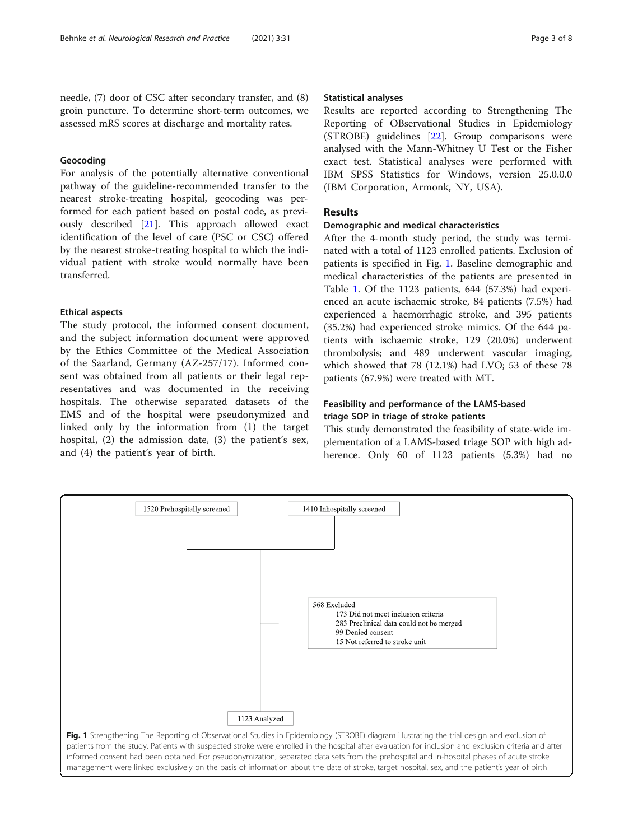needle, (7) door of CSC after secondary transfer, and (8) groin puncture. To determine short-term outcomes, we assessed mRS scores at discharge and mortality rates.

# Geocoding

For analysis of the potentially alternative conventional pathway of the guideline-recommended transfer to the nearest stroke-treating hospital, geocoding was performed for each patient based on postal code, as previously described [[21](#page-7-0)]. This approach allowed exact identification of the level of care (PSC or CSC) offered by the nearest stroke-treating hospital to which the individual patient with stroke would normally have been transferred.

# Ethical aspects

The study protocol, the informed consent document, and the subject information document were approved by the Ethics Committee of the Medical Association of the Saarland, Germany (AZ-257/17). Informed consent was obtained from all patients or their legal representatives and was documented in the receiving hospitals. The otherwise separated datasets of the EMS and of the hospital were pseudonymized and linked only by the information from (1) the target hospital, (2) the admission date, (3) the patient's sex, and (4) the patient's year of birth.

# Statistical analyses

Results are reported according to Strengthening The Reporting of OBservational Studies in Epidemiology (STROBE) guidelines [\[22](#page-7-0)]. Group comparisons were analysed with the Mann-Whitney U Test or the Fisher exact test. Statistical analyses were performed with IBM SPSS Statistics for Windows, version 25.0.0.0 (IBM Corporation, Armonk, NY, USA).

# Results

# Demographic and medical characteristics

After the 4-month study period, the study was terminated with a total of 1123 enrolled patients. Exclusion of patients is specified in Fig. 1. Baseline demographic and medical characteristics of the patients are presented in Table [1.](#page-3-0) Of the 1123 patients, 644 (57.3%) had experienced an acute ischaemic stroke, 84 patients (7.5%) had experienced a haemorrhagic stroke, and 395 patients (35.2%) had experienced stroke mimics. Of the 644 patients with ischaemic stroke, 129 (20.0%) underwent thrombolysis; and 489 underwent vascular imaging, which showed that 78 (12.1%) had LVO; 53 of these 78 patients (67.9%) were treated with MT.

# Feasibility and performance of the LAMS-based triage SOP in triage of stroke patients

This study demonstrated the feasibility of state-wide implementation of a LAMS-based triage SOP with high adherence. Only 60 of 1123 patients (5.3%) had no

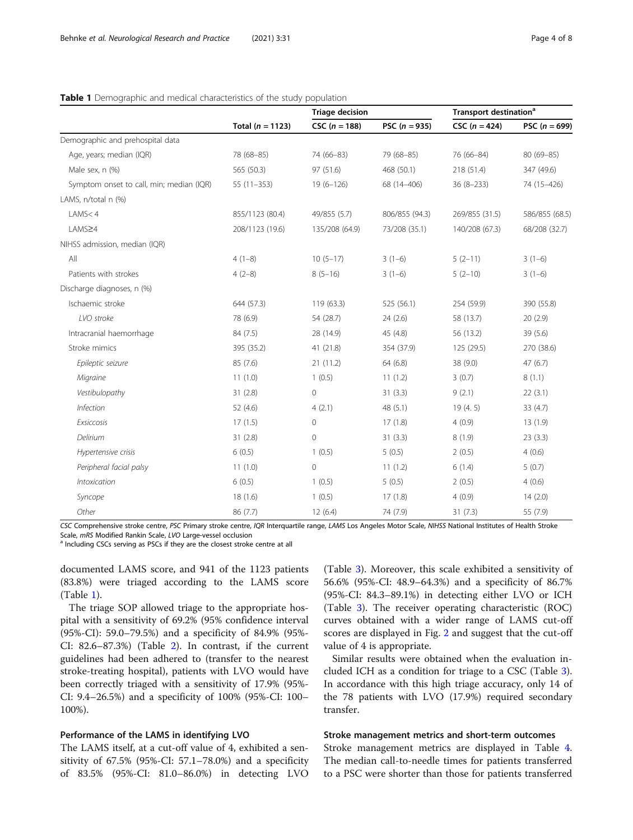|                                          |                    | <b>Triage decision</b> |                 | Transport destination <sup>a</sup> |                 |  |
|------------------------------------------|--------------------|------------------------|-----------------|------------------------------------|-----------------|--|
|                                          | Total $(n = 1123)$ | CSC $(n = 188)$        | PSC $(n = 935)$ | $CSC (n = 424)$                    | PSC $(n = 699)$ |  |
| Demographic and prehospital data         |                    |                        |                 |                                    |                 |  |
| Age, years; median (IQR)                 | 78 (68-85)         | 74 (66-83)             | 79 (68-85)      | 76 (66-84)                         | 80 (69-85)      |  |
| Male sex, n (%)                          | 565 (50.3)         | 97(51.6)               | 468 (50.1)      | 218 (51.4)                         | 347 (49.6)      |  |
| Symptom onset to call, min; median (IQR) | $55(11-353)$       | $19(6 - 126)$          | 68 (14-406)     | $36(8-233)$                        | 74 (15-426)     |  |
| LAMS, n/total n (%)                      |                    |                        |                 |                                    |                 |  |
| LAMS < 4                                 | 855/1123 (80.4)    | 49/855 (5.7)           | 806/855 (94.3)  | 269/855 (31.5)                     | 586/855 (68.5)  |  |
| LAMS≥4                                   | 208/1123 (19.6)    | 135/208 (64.9)         | 73/208 (35.1)   | 140/208 (67.3)                     | 68/208 (32.7)   |  |
| NIHSS admission, median (IQR)            |                    |                        |                 |                                    |                 |  |
| All                                      | $4(1-8)$           | $10(5-17)$             | $3(1-6)$        | $5(2-11)$                          | $3(1-6)$        |  |
| Patients with strokes                    | $4(2-8)$           | $8(5-16)$              | $3(1-6)$        | $5(2-10)$                          | $3(1-6)$        |  |
| Discharge diagnoses, n (%)               |                    |                        |                 |                                    |                 |  |
| Ischaemic stroke                         | 644 (57.3)         | 119 (63.3)             | 525 (56.1)      | 254 (59.9)                         | 390 (55.8)      |  |
| LVO stroke                               | 78 (6.9)           | 54 (28.7)              | 24(2.6)         | 58 (13.7)                          | 20(2.9)         |  |
| Intracranial haemorrhage                 | 84 (7.5)           | 28 (14.9)              | 45 (4.8)        | 56 (13.2)                          | 39(5.6)         |  |
| Stroke mimics                            | 395 (35.2)         | 41(21.8)               | 354 (37.9)      | 125 (29.5)                         | 270 (38.6)      |  |
| Epileptic seizure                        | 85(7.6)            | 21(11.2)               | 64(6.8)         | 38 (9.0)                           | 47(6.7)         |  |
| Migraine                                 | 11(1.0)            | 1(0.5)                 | 11(1.2)         | 3(0.7)                             | 8(1.1)          |  |
| Vestibulopathy                           | 31(2.8)            | $\circ$                | 31(3.3)         | 9(2.1)                             | 22(3.1)         |  |
| Infection                                | 52 (4.6)           | 4(2.1)                 | 48(5.1)         | 19(4.5)                            | 33(4.7)         |  |
| Exsiccosis                               | 17(1.5)            | $\circ$                | 17(1.8)         | 4(0.9)                             | 13(1.9)         |  |
| Delirium                                 | 31(2.8)            | $\mathbf{0}$           | 31(3.3)         | 8(1.9)                             | 23(3.3)         |  |
| Hypertensive crisis                      | 6(0.5)             | 1(0.5)                 | 5(0.5)          | 2(0.5)                             | 4(0.6)          |  |
| Peripheral facial palsy                  | 11(1.0)            | $\mathbb O$            | 11(1.2)         | 6(1.4)                             | 5(0.7)          |  |
| Intoxication                             | 6(0.5)             | 1(0.5)                 | 5(0.5)          | 2(0.5)                             | 4(0.6)          |  |
| Syncope                                  | 18(1.6)            | 1(0.5)                 | 17(1.8)         | 4(0.9)                             | 14(2.0)         |  |
| Other                                    | 86 (7.7)           | 12(6.4)                | 74 (7.9)        | 31(7.3)                            | 55 (7.9)        |  |

# <span id="page-3-0"></span>Table 1 Demographic and medical characteristics of the study population

CSC Comprehensive stroke centre, PSC Primary stroke centre, IQR Interquartile range, LAMS Los Angeles Motor Scale, NIHSS National Institutes of Health Stroke<br>Scale, mRS Modified Rankin Scale, LVO Large-vessel occlusion

<sup>a</sup> Including CSCs serving as PSCs if they are the closest stroke centre at all

documented LAMS score, and 941 of the 1123 patients (83.8%) were triaged according to the LAMS score (Table 1).

The triage SOP allowed triage to the appropriate hospital with a sensitivity of 69.2% (95% confidence interval (95%-CI): 59.0–79.5%) and a specificity of 84.9% (95%- CI: 82.6–87.3%) (Table [2\)](#page-4-0). In contrast, if the current guidelines had been adhered to (transfer to the nearest stroke-treating hospital), patients with LVO would have been correctly triaged with a sensitivity of 17.9% (95%- CI: 9.4–26.5%) and a specificity of 100% (95%-CI: 100– 100%).

# Performance of the LAMS in identifying LVO

The LAMS itself, at a cut-off value of 4, exhibited a sensitivity of 67.5% (95%-CI: 57.1–78.0%) and a specificity of 83.5% (95%-CI: 81.0–86.0%) in detecting LVO

(Table [3\)](#page-4-0). Moreover, this scale exhibited a sensitivity of 56.6% (95%-CI: 48.9–64.3%) and a specificity of 86.7% (95%-CI: 84.3–89.1%) in detecting either LVO or ICH (Table [3\)](#page-4-0). The receiver operating characteristic (ROC) curves obtained with a wider range of LAMS cut-off scores are displayed in Fig. [2](#page-5-0) and suggest that the cut-off value of 4 is appropriate.

Similar results were obtained when the evaluation included ICH as a condition for triage to a CSC (Table [3](#page-4-0)). In accordance with this high triage accuracy, only 14 of the 78 patients with LVO (17.9%) required secondary transfer.

# Stroke management metrics and short-term outcomes

Stroke management metrics are displayed in Table [4](#page-5-0). The median call-to-needle times for patients transferred to a PSC were shorter than those for patients transferred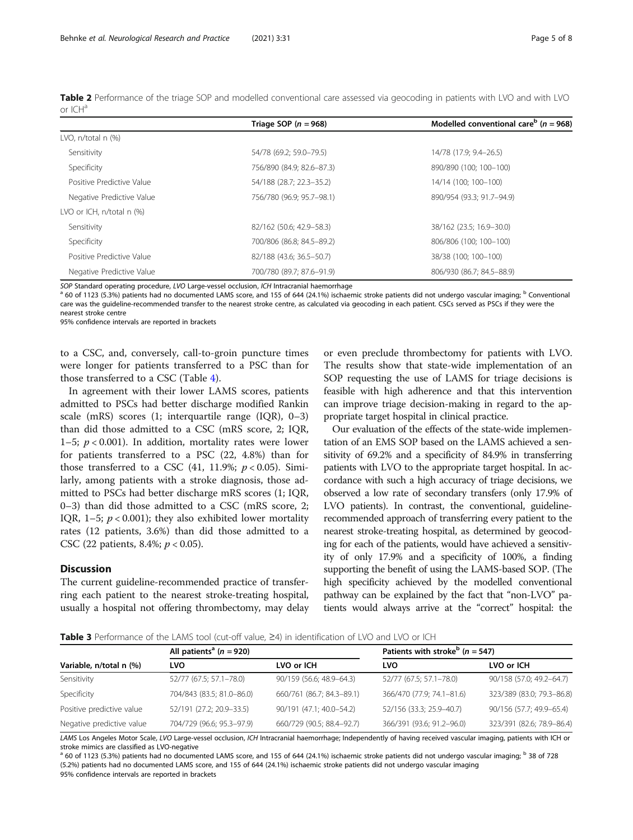<span id="page-4-0"></span>

|            | Table 2 Performance of the triage SOP and modelled conventional care assessed via geocoding in patients with LVO and with LVO |  |  |  |  |  |  |  |
|------------|-------------------------------------------------------------------------------------------------------------------------------|--|--|--|--|--|--|--|
| or $ICH^a$ |                                                                                                                               |  |  |  |  |  |  |  |

|                                | Triage SOP ( $n = 968$ )  | Modelled conventional care <sup>b</sup> ( $n = 968$ ) |
|--------------------------------|---------------------------|-------------------------------------------------------|
| LVO, n/total n (%)             |                           |                                                       |
| Sensitivity                    | 54/78 (69.2; 59.0-79.5)   | 14/78 (17.9; 9.4-26.5)                                |
| Specificity                    | 756/890 (84.9; 82.6-87.3) | 890/890 (100; 100-100)                                |
| Positive Predictive Value      | 54/188 (28.7; 22.3–35.2)  | 14/14 (100; 100-100)                                  |
| Negative Predictive Value      | 756/780 (96.9; 95.7-98.1) | 890/954 (93.3; 91.7-94.9)                             |
| LVO or ICH, $n/total \, n$ (%) |                           |                                                       |
| Sensitivity                    | 82/162 (50.6; 42.9-58.3)  | 38/162 (23.5; 16.9-30.0)                              |
| Specificity                    | 700/806 (86.8; 84.5-89.2) | 806/806 (100: 100-100)                                |
| Positive Predictive Value      | 82/188 (43.6; 36.5-50.7)  | 38/38 (100; 100-100)                                  |
| Negative Predictive Value      | 700/780 (89.7; 87.6-91.9) | 806/930 (86.7; 84.5-88.9)                             |

SOP Standard operating procedure, LVO Large-vessel occlusion, ICH Intracranial haemorrhage<br><sup>a</sup> 60 of 1123 (5.3%) patients had no documented LAMS score, and 155 of 644 (24.1%) ischaemic stroke patients did not undergo vascu care was the guideline-recommended transfer to the nearest stroke centre, as calculated via geocoding in each patient. CSCs served as PSCs if they were the nearest stroke centre

95% confidence intervals are reported in brackets

to a CSC, and, conversely, call-to-groin puncture times were longer for patients transferred to a PSC than for those transferred to a CSC (Table [4\)](#page-5-0).

In agreement with their lower LAMS scores, patients admitted to PSCs had better discharge modified Rankin scale (mRS) scores (1; interquartile range (IQR), 0–3) than did those admitted to a CSC (mRS score, 2; IQR, 1–5;  $p < 0.001$ ). In addition, mortality rates were lower for patients transferred to a PSC (22, 4.8%) than for those transferred to a CSC  $(41, 11.9\%; p < 0.05)$ . Similarly, among patients with a stroke diagnosis, those admitted to PSCs had better discharge mRS scores (1; IQR, 0–3) than did those admitted to a CSC (mRS score, 2; IQR, 1–5;  $p < 0.001$ ); they also exhibited lower mortality rates (12 patients, 3.6%) than did those admitted to a CSC (22 patients, 8.4%;  $p < 0.05$ ).

# Discussion

The current guideline-recommended practice of transferring each patient to the nearest stroke-treating hospital, usually a hospital not offering thrombectomy, may delay

or even preclude thrombectomy for patients with LVO. The results show that state-wide implementation of an SOP requesting the use of LAMS for triage decisions is feasible with high adherence and that this intervention can improve triage decision-making in regard to the appropriate target hospital in clinical practice.

Our evaluation of the effects of the state-wide implementation of an EMS SOP based on the LAMS achieved a sensitivity of 69.2% and a specificity of 84.9% in transferring patients with LVO to the appropriate target hospital. In accordance with such a high accuracy of triage decisions, we observed a low rate of secondary transfers (only 17.9% of LVO patients). In contrast, the conventional, guidelinerecommended approach of transferring every patient to the nearest stroke-treating hospital, as determined by geocoding for each of the patients, would have achieved a sensitivity of only 17.9% and a specificity of 100%, a finding supporting the benefit of using the LAMS-based SOP. (The high specificity achieved by the modelled conventional pathway can be explained by the fact that "non-LVO" patients would always arrive at the "correct" hospital: the

Table 3 Performance of the LAMS tool (cut-off value, ≥4) in identification of LVO and LVO or ICH

|                           | All patients <sup>a</sup> ( $n = 920$ ) |                           | Patients with stroke <sup>b</sup> ( $n = 547$ ) |                           |  |  |  |  |
|---------------------------|-----------------------------------------|---------------------------|-------------------------------------------------|---------------------------|--|--|--|--|
| Variable, n/total n (%)   | LVO                                     | LVO or ICH                | LVO                                             | LVO or ICH                |  |  |  |  |
| Sensitivity               | 52/77 (67.5; 57.1-78.0)                 | 90/159 (56.6; 48.9–64.3)  | 52/77 (67.5; 57.1–78.0)                         | 90/158 (57.0; 49.2-64.7)  |  |  |  |  |
| Specificity               | 704/843 (83.5; 81.0-86.0)               | 660/761 (86.7; 84.3-89.1) | 366/470 (77.9; 74.1-81.6)                       | 323/389 (83.0; 79.3-86.8) |  |  |  |  |
| Positive predictive value | 52/191 (27.2; 20.9-33.5)                | 90/191 (47.1; 40.0-54.2)  | 52/156 (33.3; 25.9-40.7)                        | 90/156 (57.7; 49.9-65.4)  |  |  |  |  |
| Negative predictive value | 704/729 (96.6; 95.3-97.9)               | 660/729 (90.5; 88.4-92.7) | 366/391 (93.6; 91.2-96.0)                       | 323/391 (82.6; 78.9-86.4) |  |  |  |  |
|                           |                                         |                           |                                                 |                           |  |  |  |  |

LAMS Los Angeles Motor Scale, LVO Large-vessel occlusion, ICH Intracranial haemorrhage; Independently of having received vascular imaging, patients with ICH or stroke mimics are classified as LVO-negative

 $^{\text{a}}$  60 of 1123 (5.3%) patients had no documented LAMS score, and 155 of 644 (24.1%) ischaemic stroke patients did not undergo vascular imaging;  $^{\text{b}}$  38 of 728 (5.2%) patients had no documented LAMS score, and 155 of 644 (24.1%) ischaemic stroke patients did not undergo vascular imaging 95% confidence intervals are reported in brackets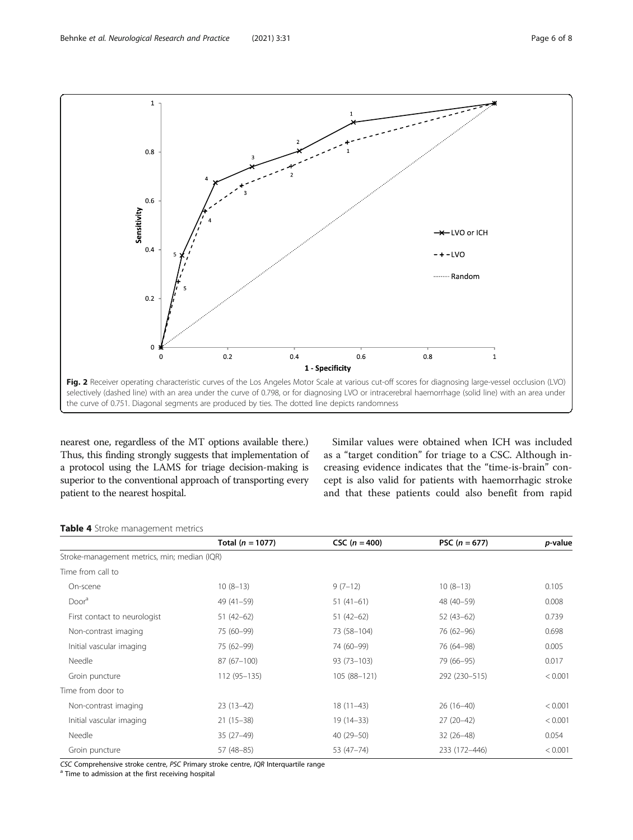<span id="page-5-0"></span>

nearest one, regardless of the MT options available there.) Thus, this finding strongly suggests that implementation of a protocol using the LAMS for triage decision-making is superior to the conventional approach of transporting every patient to the nearest hospital.

Similar values were obtained when ICH was included as a "target condition" for triage to a CSC. Although increasing evidence indicates that the "time-is-brain" concept is also valid for patients with haemorrhagic stroke and that these patients could also benefit from rapid

# Table 4 Stroke management metrics

|                                              | Total $(n = 1077)$ | $CSC (n = 400)$ | PSC $(n = 677)$ | <i>p</i> -value |
|----------------------------------------------|--------------------|-----------------|-----------------|-----------------|
| Stroke-management metrics, min; median (IQR) |                    |                 |                 |                 |
| Time from call to                            |                    |                 |                 |                 |
| On-scene                                     | $10(8-13)$         | $9(7-12)$       | $10(8-13)$      | 0.105           |
| Door <sup>a</sup>                            | $49(41-59)$        | $51(41-61)$     | 48 (40-59)      | 0.008           |
| First contact to neurologist                 | $51(42-62)$        | $51(42-62)$     | $52(43-62)$     | 0.739           |
| Non-contrast imaging                         | 75 (60-99)         | 73 (58-104)     | 76 (62-96)      | 0.698           |
| Initial vascular imaging                     | 75 (62-99)         | 74 (60-99)      | 76 (64-98)      | 0.005           |
| Needle                                       | $87(67-100)$       | $93(73 - 103)$  | 79 (66-95)      | 0.017           |
| Groin puncture                               | 112 (95-135)       | 105 (88-121)    | 292 (230-515)   | < 0.001         |
| Time from door to                            |                    |                 |                 |                 |
| Non-contrast imaging                         | $23(13-42)$        | $18(11-43)$     | $26(16-40)$     | < 0.001         |
| Initial vascular imaging                     | $21(15-38)$        | $19(14-33)$     | $27(20-42)$     | < 0.001         |
| Needle                                       | $35(27-49)$        | $40(29 - 50)$   | $32(26-48)$     | 0.054           |
| Groin puncture                               | 57 (48-85)         | 53 (47-74)      | 233 (172-446)   | < 0.001         |

CSC Comprehensive stroke centre, PSC Primary stroke centre, IQR Interquartile range  $a$  Time to admission at the first receiving hospital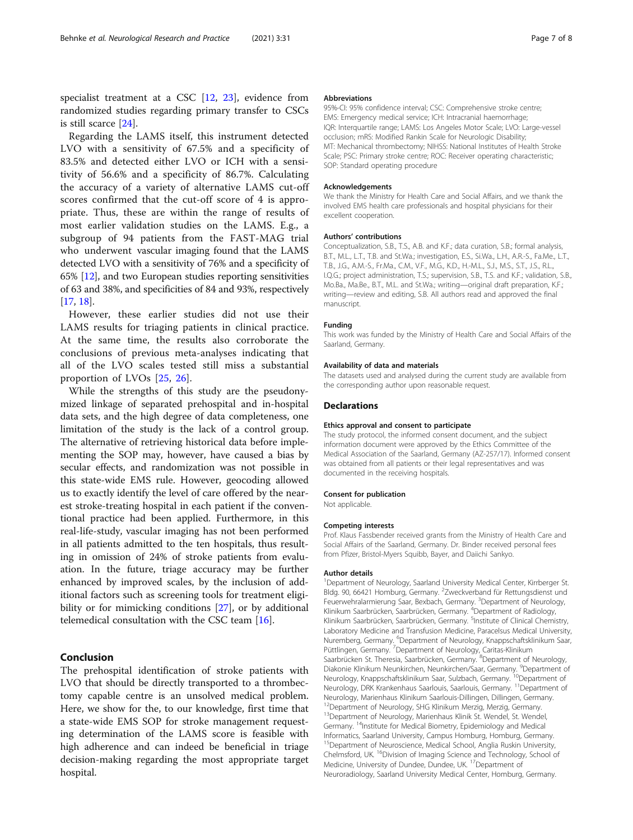specialist treatment at a CSC [[12,](#page-7-0) [23\]](#page-7-0), evidence from randomized studies regarding primary transfer to CSCs is still scarce [[24](#page-7-0)].

Regarding the LAMS itself, this instrument detected LVO with a sensitivity of 67.5% and a specificity of 83.5% and detected either LVO or ICH with a sensitivity of 56.6% and a specificity of 86.7%. Calculating the accuracy of a variety of alternative LAMS cut-off scores confirmed that the cut-off score of 4 is appropriate. Thus, these are within the range of results of most earlier validation studies on the LAMS. E.g., a subgroup of 94 patients from the FAST-MAG trial who underwent vascular imaging found that the LAMS detected LVO with a sensitivity of 76% and a specificity of 65% [\[12\]](#page-7-0), and two European studies reporting sensitivities of 63 and 38%, and specificities of 84 and 93%, respectively [[17](#page-7-0), [18\]](#page-7-0).

However, these earlier studies did not use their LAMS results for triaging patients in clinical practice. At the same time, the results also corroborate the conclusions of previous meta-analyses indicating that all of the LVO scales tested still miss a substantial proportion of LVOs [\[25](#page-7-0), [26](#page-7-0)].

While the strengths of this study are the pseudonymized linkage of separated prehospital and in-hospital data sets, and the high degree of data completeness, one limitation of the study is the lack of a control group. The alternative of retrieving historical data before implementing the SOP may, however, have caused a bias by secular effects, and randomization was not possible in this state-wide EMS rule. However, geocoding allowed us to exactly identify the level of care offered by the nearest stroke-treating hospital in each patient if the conventional practice had been applied. Furthermore, in this real-life-study, vascular imaging has not been performed in all patients admitted to the ten hospitals, thus resulting in omission of 24% of stroke patients from evaluation. In the future, triage accuracy may be further enhanced by improved scales, by the inclusion of additional factors such as screening tools for treatment eligi-bility or for mimicking conditions [\[27](#page-7-0)], or by additional telemedical consultation with the CSC team [\[16](#page-7-0)].

# Conclusion

The prehospital identification of stroke patients with LVO that should be directly transported to a thrombectomy capable centre is an unsolved medical problem. Here, we show for the, to our knowledge, first time that a state-wide EMS SOP for stroke management requesting determination of the LAMS score is feasible with high adherence and can indeed be beneficial in triage decision-making regarding the most appropriate target hospital.

#### Abbreviations

95%-CI: 95% confidence interval; CSC: Comprehensive stroke centre; EMS: Emergency medical service; ICH: Intracranial haemorrhage; IQR: Interquartile range; LAMS: Los Angeles Motor Scale; LVO: Large-vessel occlusion; mRS: Modified Rankin Scale for Neurologic Disability; MT: Mechanical thrombectomy; NIHSS: National Institutes of Health Stroke Scale; PSC: Primary stroke centre; ROC: Receiver operating characteristic; SOP: Standard operating procedure

# Acknowledgements

We thank the Ministry for Health Care and Social Affairs, and we thank the involved EMS health care professionals and hospital physicians for their excellent cooperation.

#### Authors' contributions

Conceptualization, S.B., T.S., A.B. and K.F.; data curation, S.B.; formal analysis, B.T., M.L., L.T., T.B. and St.Wa.; investigation, E.S., Si.Wa., L.H., A.R.-S., Fa.Me., L.T., T.B., J.G., A.M.-S., Fr.Ma., C.M., V.F., M.G., K.D., H.-M.L., S.J., M.S., S.T., J.S., R.L., I.Q.G.; project administration, T.S.; supervision, S.B., T.S. and K.F.; validation, S.B., Mo.Ba., Ma.Be., B.T., M.L. and St.Wa.; writing—original draft preparation, K.F.; writing—review and editing, S.B. All authors read and approved the final manuscript.

#### Funding

This work was funded by the Ministry of Health Care and Social Affairs of the Saarland, Germany.

#### Availability of data and materials

The datasets used and analysed during the current study are available from the corresponding author upon reasonable request.

#### **Declarations**

#### Ethics approval and consent to participate

The study protocol, the informed consent document, and the subject information document were approved by the Ethics Committee of the Medical Association of the Saarland, Germany (AZ-257/17). Informed consent was obtained from all patients or their legal representatives and was documented in the receiving hospitals.

#### Consent for publication

Not applicable.

#### Competing interests

Prof. Klaus Fassbender received grants from the Ministry of Health Care and Social Affairs of the Saarland, Germany. Dr. Binder received personal fees from Pfizer, Bristol-Myers Squibb, Bayer, and Daiichi Sankyo.

#### Author details

<sup>1</sup>Department of Neurology, Saarland University Medical Center, Kirrberger St Bldg. 90, 66421 Homburg, Germany. <sup>2</sup>Zweckverband für Rettungsdienst und Feuerwehralarmierung Saar, Bexbach, Germany. <sup>3</sup>Department of Neurology, Klinikum Saarbrücken, Saarbrücken, Germany. <sup>4</sup>Department of Radiology, Klinikum Saarbrücken, Saarbrücken, Germany. <sup>5</sup>Institute of Clinical Chemistry, Laboratory Medicine and Transfusion Medicine, Paracelsus Medical University, Nuremberg, Germany. <sup>6</sup>Department of Neurology, Knappschaftsklinikum Saar, Püttlingen, Germany. <sup>7</sup>Department of Neurology, Caritas-Klinikum Saarbrücken St. Theresia, Saarbrücken, Germany. <sup>8</sup>Department of Neurology Diakonie Klinikum Neunkirchen, Neunkirchen/Saar, Germany. <sup>9</sup>Department of<br>Neurology, Knappschaftsklinikum Saar, Sulzbach, Germany. <sup>10</sup>Department of Neurology, Knappschaftsklinikum Saar, Sulzbach, Germany. <sup>10</sup>Department of<br>Neurology, DRK Krankenhaus Saarlouis, Saarlouis, Germany. <sup>11</sup>Department of Neurology, Marienhaus Klinikum Saarlouis-Dillingen, Dillingen, Germany. <sup>2</sup>Department of Neurology, SHG Klinikum Merzig, Merzig, Germany. <sup>13</sup>Department of Neurology, Marienhaus Klinik St. Wendel, St. Wendel, Germany.<sup>14</sup>Institute for Medical Biometry, Epidemiology and Medical Informatics, Saarland University, Campus Homburg, Homburg, Germany. <sup>15</sup>Department of Neuroscience, Medical School, Anglia Ruskin University, Chelmsford, UK. 16Division of Imaging Science and Technology, School of Medicine, University of Dundee, Dundee, UK. <sup>17</sup>Department of Neuroradiology, Saarland University Medical Center, Homburg, Germany.